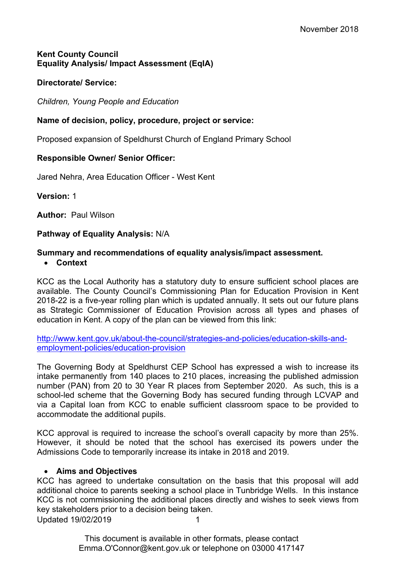### **Kent County Council Equality Analysis/ Impact Assessment (EqIA)**

## **Directorate/ Service:**

*Children, Young People and Education*

# **Name of decision, policy, procedure, project or service:**

Proposed expansion of Speldhurst Church of England Primary School

# **Responsible Owner/ Senior Officer:**

Jared Nehra, Area Education Officer - West Kent

**Version:** 1

**Author:** Paul Wilson

### **Pathway of Equality Analysis:** N/A

### **Summary and recommendations of equality analysis/impact assessment. Context**

KCC as the Local Authority has a statutory duty to ensure sufficient school places are available. The County Council's Commissioning Plan for Education Provision in Kent 2018-22 is a five-year rolling plan which is updated annually. It sets out our future plans as Strategic Commissioner of Education Provision across all types and phases of education in Kent. A copy of the plan can be viewed from this link:

[http://www.kent.gov.uk/about-the-council/strategies-and-policies/education-skills-and](http://www.kent.gov.uk/about-the-council/strategies-and-policies/education-skills-and-employment-policies/education-provision)[employment-policies/education-provision](http://www.kent.gov.uk/about-the-council/strategies-and-policies/education-skills-and-employment-policies/education-provision)

The Governing Body at Speldhurst CEP School has expressed a wish to increase its intake permanently from 140 places to 210 places, increasing the published admission number (PAN) from 20 to 30 Year R places from September 2020. As such, this is a school-led scheme that the Governing Body has secured funding through LCVAP and via a Capital loan from KCC to enable sufficient classroom space to be provided to accommodate the additional pupils.

KCC approval is required to increase the school's overall capacity by more than 25%. However, it should be noted that the school has exercised its powers under the Admissions Code to temporarily increase its intake in 2018 and 2019.

### **Aims and Objectives**

Updated 19/02/2019 1 KCC has agreed to undertake consultation on the basis that this proposal will add additional choice to parents seeking a school place in Tunbridge Wells. In this instance KCC is not commissioning the additional places directly and wishes to seek views from key stakeholders prior to a decision being taken.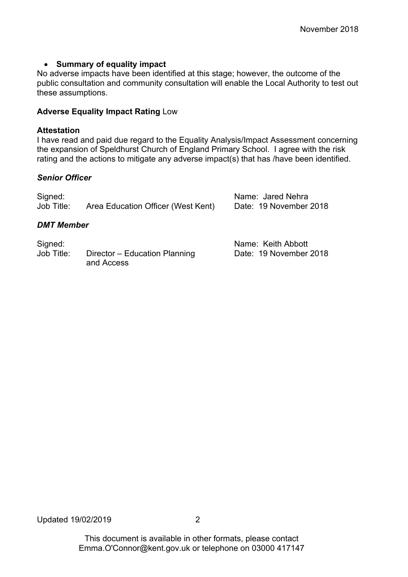#### **Summary of equality impact**

No adverse impacts have been identified at this stage; however, the outcome of the public consultation and community consultation will enable the Local Authority to test out these assumptions.

#### **Adverse Equality Impact Rating** Low

#### **Attestation**

I have read and paid due regard to the Equality Analysis/Impact Assessment concerning the expansion of Speldhurst Church of England Primary School. I agree with the risk rating and the actions to mitigate any adverse impact(s) that has /have been identified.

#### *Senior Officer*

| Signed:<br>Job Title: | Area Education Officer (West Kent) | Name: Jared Nehra<br>Date: 19 November 2018 |  |  |  |  |  |
|-----------------------|------------------------------------|---------------------------------------------|--|--|--|--|--|
| <b>DMT Member</b>     |                                    |                                             |  |  |  |  |  |
| Signed:               |                                    | Name: Keith Abbott                          |  |  |  |  |  |

Job Title: Director – Education Planning Date: 19 November 2018 and Access

Updated 19/02/2019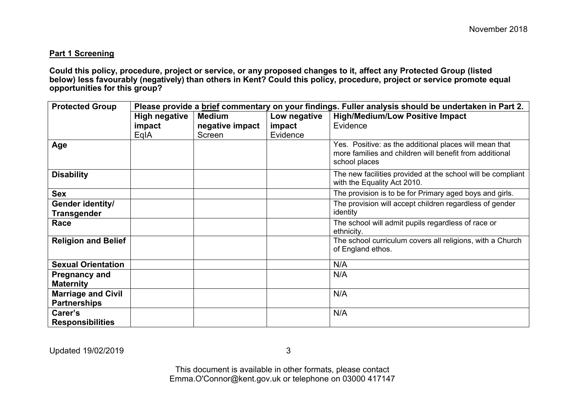#### **Part 1 Screening**

Could this policy, procedure, project or service, or any proposed changes to it, affect any Protected Group (listed below) less favourably (negatively) than others in Kent? Could this policy, procedure, project or service promote equal **opportunities for this group?**

| <b>Protected Group</b>                           | Please provide a brief commentary on your findings. Fuller analysis should be undertaken in Part 2. |                 |              |                                                                                                                                    |  |  |  |
|--------------------------------------------------|-----------------------------------------------------------------------------------------------------|-----------------|--------------|------------------------------------------------------------------------------------------------------------------------------------|--|--|--|
|                                                  | <b>High negative</b>                                                                                | <b>Medium</b>   | Low negative | <b>High/Medium/Low Positive Impact</b>                                                                                             |  |  |  |
|                                                  | impact                                                                                              | negative impact | impact       | Evidence                                                                                                                           |  |  |  |
|                                                  | EqIA                                                                                                | Screen          | Evidence     |                                                                                                                                    |  |  |  |
| Age                                              |                                                                                                     |                 |              | Yes. Positive: as the additional places will mean that<br>more families and children will benefit from additional<br>school places |  |  |  |
| <b>Disability</b>                                |                                                                                                     |                 |              | The new facilities provided at the school will be compliant<br>with the Equality Act 2010.                                         |  |  |  |
| <b>Sex</b>                                       |                                                                                                     |                 |              | The provision is to be for Primary aged boys and girls.                                                                            |  |  |  |
| Gender identity/<br><b>Transgender</b>           |                                                                                                     |                 |              | The provision will accept children regardless of gender<br>identity                                                                |  |  |  |
| Race                                             |                                                                                                     |                 |              | The school will admit pupils regardless of race or<br>ethnicity.                                                                   |  |  |  |
| <b>Religion and Belief</b>                       |                                                                                                     |                 |              | The school curriculum covers all religions, with a Church<br>of England ethos.                                                     |  |  |  |
| <b>Sexual Orientation</b>                        |                                                                                                     |                 |              | N/A                                                                                                                                |  |  |  |
| <b>Pregnancy and</b><br><b>Maternity</b>         |                                                                                                     |                 |              | N/A                                                                                                                                |  |  |  |
| <b>Marriage and Civil</b><br><b>Partnerships</b> |                                                                                                     |                 |              | N/A                                                                                                                                |  |  |  |
| Carer's<br><b>Responsibilities</b>               |                                                                                                     |                 |              | N/A                                                                                                                                |  |  |  |

Updated 19/02/2019

3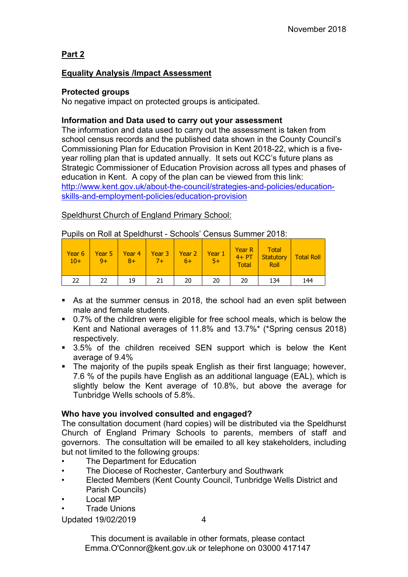# **Part 2**

### **Equality Analysis /Impact Assessment**

### **Protected groups**

No negative impact on protected groups is anticipated.

### **Information and Data used to carry out your assessment**

The information and data used to carry out the assessment is taken from school census records and the published data shown in the County Council's Commissioning Plan for Education Provision in Kent 2018-22, which is a fiveyear rolling plan that is updated annually. It sets out KCC's future plans as Strategic Commissioner of Education Provision across all types and phases of education in Kent. A copy of the plan can be viewed from this link: [http://www.kent.gov.uk/about-the-council/strategies-and-policies/education](http://www.kent.gov.uk/about-the-council/strategies-and-policies/education-skills-and-employment-policies/education-provision)[skills-and-employment-policies/education-provision](http://www.kent.gov.uk/about-the-council/strategies-and-policies/education-skills-and-employment-policies/education-provision)

# Speldhurst Church of England Primary School:

| Year 6<br>$10+$ | Year 5<br>$9+$ | Year 4<br>$8+$ | Year 3<br>$7+$ | Year <sub>2</sub><br>6+ | Year 1<br>$5+$ | <b>Year R</b><br>$4+PT$<br><b>Total</b> | <b>Total</b><br><b>Statutory</b><br><b>Roll</b> | <b>Total Roll</b> |
|-----------------|----------------|----------------|----------------|-------------------------|----------------|-----------------------------------------|-------------------------------------------------|-------------------|
| つつ              | 22             | 19             | 21             | 20                      | 20             | 20                                      | 134                                             | 144               |

#### Pupils on Roll at Speldhurst - Schools' Census Summer 2018:

- As at the summer census in 2018, the school had an even split between male and female students.
- 0.7% of the children were eligible for free school meals, which is below the Kent and National averages of 11.8% and 13.7%\* (\*Spring census 2018) respectively.
- 3.5% of the children received SEN support which is below the Kent average of 9.4%
- The majority of the pupils speak English as their first language; however, 7.6 % of the pupils have English as an additional language (EAL), which is slightly below the Kent average of 10.8%, but above the average for Tunbridge Wells schools of 5.8%.

### **Who have you involved consulted and engaged?**

The consultation document (hard copies) will be distributed via the Speldhurst Church of England Primary Schools to parents, members of staff and governors. The consultation will be emailed to all key stakeholders, including but not limited to the following groups:

- The Department for Education
- The Diocese of Rochester, Canterbury and Southwark
- Elected Members (Kent County Council, Tunbridge Wells District and Parish Councils)
- Local MP
- Trade Unions

Updated 19/02/2019

4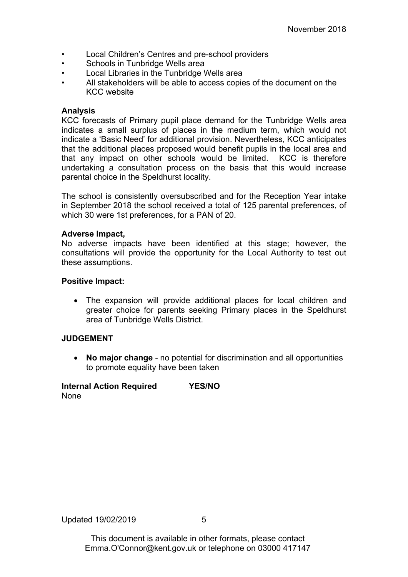- Local Children's Centres and pre-school providers
- Schools in Tunbridge Wells area
- Local Libraries in the Tunbridge Wells area
- All stakeholders will be able to access copies of the document on the KCC website

#### **Analysis**

KCC forecasts of Primary pupil place demand for the Tunbridge Wells area indicates a small surplus of places in the medium term, which would not indicate a 'Basic Need' for additional provision. Nevertheless, KCC anticipates that the additional places proposed would benefit pupils in the local area and that any impact on other schools would be limited. KCC is therefore undertaking a consultation process on the basis that this would increase parental choice in the Speldhurst locality.

The school is consistently oversubscribed and for the Reception Year intake in September 2018 the school received a total of 125 parental preferences, of which 30 were 1st preferences, for a PAN of 20.

#### **Adverse Impact,**

No adverse impacts have been identified at this stage; however, the consultations will provide the opportunity for the Local Authority to test out these assumptions.

#### **Positive Impact:**

 The expansion will provide additional places for local children and greater choice for parents seeking Primary places in the Speldhurst area of Tunbridge Wells District.

### **JUDGEMENT**

 **No major change** - no potential for discrimination and all opportunities to promote equality have been taken

### **Internal Action Required YES/NO** None

Updated 19/02/2019